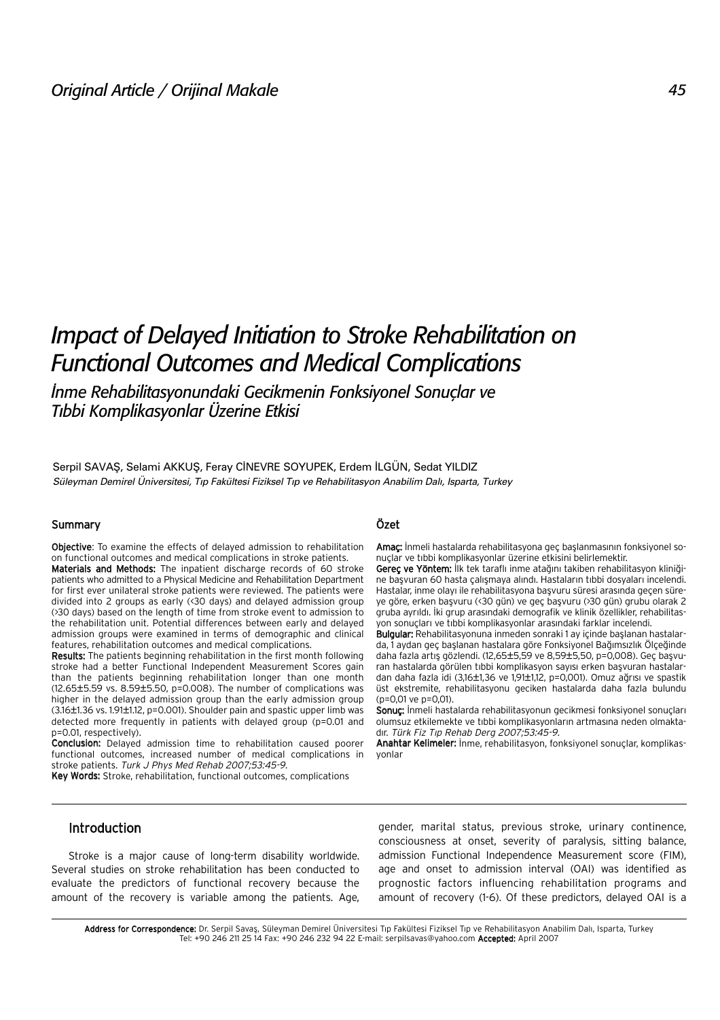# *Impact of Delayed Initiation to Stroke Rehabilitation on Functional Outcomes and Medical Complications*

*‹nme Rehabilitasyonundaki Gecikmenin Fonksiyonel Sonuçlar ve T›bbi Komplikasyonlar Üzerine Etkisi*

Serpil SAVAŞ, Selami AKKUŞ, Feray CİNEVRE SOYUPEK, Erdem İLGÜN, Sedat YILDIZ Süleyman Demirel Üniversitesi, Tıp Fakültesi Fiziksel Tıp ve Rehabilitasyon Anabilim Dalı, Isparta, Turkey

#### Summary

Objective: To examine the effects of delayed admission to rehabilitation on functional outcomes and medical complications in stroke patients.

Materials and Methods: The inpatient discharge records of 60 stroke patients who admitted to a Physical Medicine and Rehabilitation Department for first ever unilateral stroke patients were reviewed. The patients were divided into 2 groups as early (<30 days) and delayed admission group (>30 days) based on the length of time from stroke event to admission to the rehabilitation unit. Potential differences between early and delayed admission groups were examined in terms of demographic and clinical features, rehabilitation outcomes and medical complications.

Results: The patients beginning rehabilitation in the first month following stroke had a better Functional Independent Measurement Scores gain than the patients beginning rehabilitation longer than one month (12.65±5.59 vs. 8.59±5.50, p=0.008). The number of complications was higher in the delayed admission group than the early admission group (3.16±1.36 vs. 1.91±1.12, p=0.001). Shoulder pain and spastic upper limb was detected more frequently in patients with delayed group (p=0.01 and p=0.01, respectively).

Conclusion: Delayed admission time to rehabilitation caused poorer functional outcomes, increased number of medical complications in stroke patients. Turk J Phys Med Rehab 2007;53:45-9.

Key Words: Stroke, rehabilitation, functional outcomes, complications

### Özet

Amaç: İnmeli hastalarda rehabilitasyona geç başlanmasının fonksiyonel sonuçlar ve tıbbi komplikasyonlar üzerine etkisini belirlemektir.

Gereç ve Yöntem: İlk tek taraflı inme atağını takiben rehabilitasyon kliniğine başvuran 60 hasta çalışmaya alındı. Hastaların tıbbi dosyaları incelendi. Hastalar, inme olayı ile rehabilitasyona başvuru süresi arasında geçen süreye göre, erken başvuru (<30 gün) ve geç başvuru (>30 gün) grubu olarak 2 gruba ayrıldı. İki grup arasındaki demografik ve klinik özellikler, rehabilitasyon sonuçları ve tıbbi komplikasyonlar arasındaki farklar incelendi.

Bulgular: Rehabilitasyonuna inmeden sonraki 1 ay içinde başlanan hastalarda, 1 aydan geç başlanan hastalara göre Fonksiyonel Bağımsızlık Ölçeğinde daha fazla artış gözlendi. (12,65±5,59 ve 8,59±5,50, p=0,008). Geç başvuran hastalarda görülen tıbbi komplikasyon sayısı erken başyuran hastalardan daha fazla idi (3,16±1,36 ve 1,91±1,12, p=0,001). Omuz ağrısı ve spastik üst ekstremite, rehabilitasyonu geciken hastalarda daha fazla bulundu (p=0,01 ve p=0,01).

Sonuc: İnmeli hastalarda rehabilitasyonun gecikmesi fonksiyonel sonuçları olumsuz etkilemekte ve tıbbi komplikasyonların artmasına neden olmaktadır. Türk Fiz Tıp Rehab Derg 2007;53:45-9.

Anahtar Kelimeler: İnme, rehabilitasyon, fonksiyonel sonuçlar, komplikasyonlar

# Introduction

Stroke is a major cause of long-term disability worldwide. Several studies on stroke rehabilitation has been conducted to evaluate the predictors of functional recovery because the amount of the recovery is variable among the patients. Age,

gender, marital status, previous stroke, urinary continence, consciousness at onset, severity of paralysis, sitting balance, admission Functional Independence Measurement score (FIM), age and onset to admission interval (OAI) was identified as prognostic factors influencing rehabilitation programs and amount of recovery (1-6). Of these predictors, delayed OAI is a

Address for Correspondence: Dr. Serpil Savas, Süleyman Demirel Üniversitesi Tıp Fakültesi Fiziksel Tıp ve Rehabilitasyon Anabilim Dalı, Isparta, Turkey Tel: +90 246 211 25 14 Fax: +90 246 232 94 22 E-mail: serpilsavas@yahoo.com Accepted: April 2007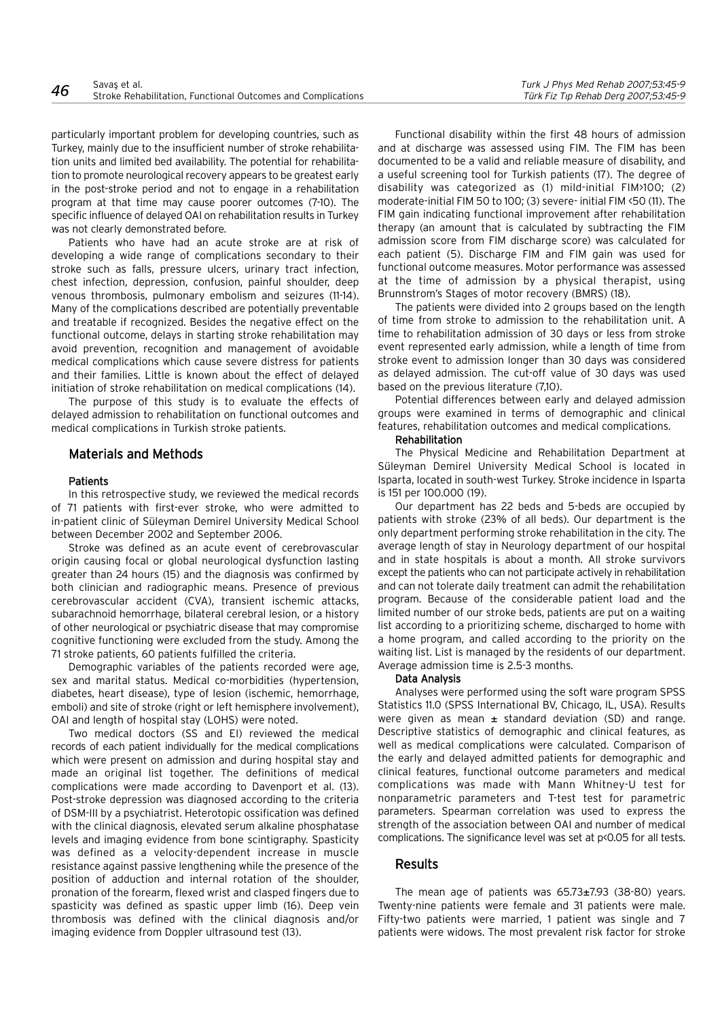particularly important problem for developing countries, such as Turkey, mainly due to the insufficient number of stroke rehabilitation units and limited bed availability. The potential for rehabilitation to promote neurological recovery appears to be greatest early in the post-stroke period and not to engage in a rehabilitation program at that time may cause poorer outcomes (7-10). The specific influence of delayed OAI on rehabilitation results in Turkey was not clearly demonstrated before.

Patients who have had an acute stroke are at risk of developing a wide range of complications secondary to their stroke such as falls, pressure ulcers, urinary tract infection, chest infection, depression, confusion, painful shoulder, deep venous thrombosis, pulmonary embolism and seizures (11-14). Many of the complications described are potentially preventable and treatable if recognized. Besides the negative effect on the functional outcome, delays in starting stroke rehabilitation may avoid prevention, recognition and management of avoidable medical complications which cause severe distress for patients and their families. Little is known about the effect of delayed initiation of stroke rehabilitation on medical complications (14).

The purpose of this study is to evaluate the effects of delayed admission to rehabilitation on functional outcomes and medical complications in Turkish stroke patients.

#### Materials and Methods

#### **Patients**

In this retrospective study, we reviewed the medical records of 71 patients with first-ever stroke, who were admitted to in-patient clinic of Süleyman Demirel University Medical School between December 2002 and September 2006.

Stroke was defined as an acute event of cerebrovascular origin causing focal or global neurological dysfunction lasting greater than 24 hours (15) and the diagnosis was confirmed by both clinician and radiographic means. Presence of previous cerebrovascular accident (CVA), transient ischemic attacks, subarachnoid hemorrhage, bilateral cerebral lesion, or a history of other neurological or psychiatric disease that may compromise cognitive functioning were excluded from the study. Among the 71 stroke patients, 60 patients fulfilled the criteria.

Demographic variables of the patients recorded were age, sex and marital status. Medical co-morbidities (hypertension, diabetes, heart disease), type of lesion (ischemic, hemorrhage, emboli) and site of stroke (right or left hemisphere involvement), OAI and length of hospital stay (LOHS) were noted.

Two medical doctors (SS and EI) reviewed the medical records of each patient individually for the medical complications which were present on admission and during hospital stay and made an original list together. The definitions of medical complications were made according to Davenport et al. (13). Post-stroke depression was diagnosed according to the criteria of DSM-III by a psychiatrist. Heterotopic ossification was defined with the clinical diagnosis, elevated serum alkaline phosphatase levels and imaging evidence from bone scintigraphy. Spasticity was defined as a velocity-dependent increase in muscle resistance against passive lengthening while the presence of the position of adduction and internal rotation of the shoulder, pronation of the forearm, flexed wrist and clasped fingers due to spasticity was defined as spastic upper limb (16). Deep vein thrombosis was defined with the clinical diagnosis and/or imaging evidence from Doppler ultrasound test (13).

Functional disability within the first 48 hours of admission and at discharge was assessed using FIM. The FIM has been documented to be a valid and reliable measure of disability, and a useful screening tool for Turkish patients (17). The degree of disability was categorized as (1) mild-initial FIM>100; (2) moderate-initial FIM 50 to 100; (3) severe- initial FIM <50 (11). The FIM gain indicating functional improvement after rehabilitation therapy (an amount that is calculated by subtracting the FIM admission score from FIM discharge score) was calculated for each patient (5). Discharge FIM and FIM gain was used for functional outcome measures. Motor performance was assessed at the time of admission by a physical therapist, using Brunnstrom's Stages of motor recovery (BMRS) (18).

The patients were divided into 2 groups based on the length of time from stroke to admission to the rehabilitation unit. A time to rehabilitation admission of 30 days or less from stroke event represented early admission, while a length of time from stroke event to admission longer than 30 days was considered as delayed admission. The cut-off value of 30 days was used based on the previous literature (7,10).

Potential differences between early and delayed admission groups were examined in terms of demographic and clinical features, rehabilitation outcomes and medical complications.

# Rehabilitation

The Physical Medicine and Rehabilitation Department at Süleyman Demirel University Medical School is located in Isparta, located in south-west Turkey. Stroke incidence in Isparta is 151 per 100.000 (19).

Our department has 22 beds and 5-beds are occupied by patients with stroke (23% of all beds). Our department is the only department performing stroke rehabilitation in the city. The average length of stay in Neurology department of our hospital and in state hospitals is about a month. All stroke survivors except the patients who can not participate actively in rehabilitation and can not tolerate daily treatment can admit the rehabilitation program. Because of the considerable patient load and the limited number of our stroke beds, patients are put on a waiting list according to a prioritizing scheme, discharged to home with a home program, and called according to the priority on the waiting list. List is managed by the residents of our department. Average admission time is 2.5-3 months.

#### Data Analysis

Analyses were performed using the soft ware program SPSS Statistics 11.0 (SPSS International BV, Chicago, IL, USA). Results were given as mean  $\pm$  standard deviation (SD) and range. Descriptive statistics of demographic and clinical features, as well as medical complications were calculated. Comparison of the early and delayed admitted patients for demographic and clinical features, functional outcome parameters and medical complications was made with Mann Whitney-U test for nonparametric parameters and T-test test for parametric parameters. Spearman correlation was used to express the strength of the association between OAI and number of medical complications. The significance level was set at p<0.05 for all tests.

#### Results

The mean age of patients was  $65.73 \pm 7.93$  (38-80) years. Twenty-nine patients were female and 31 patients were male. Fifty-two patients were married, 1 patient was single and 7 patients were widows. The most prevalent risk factor for stroke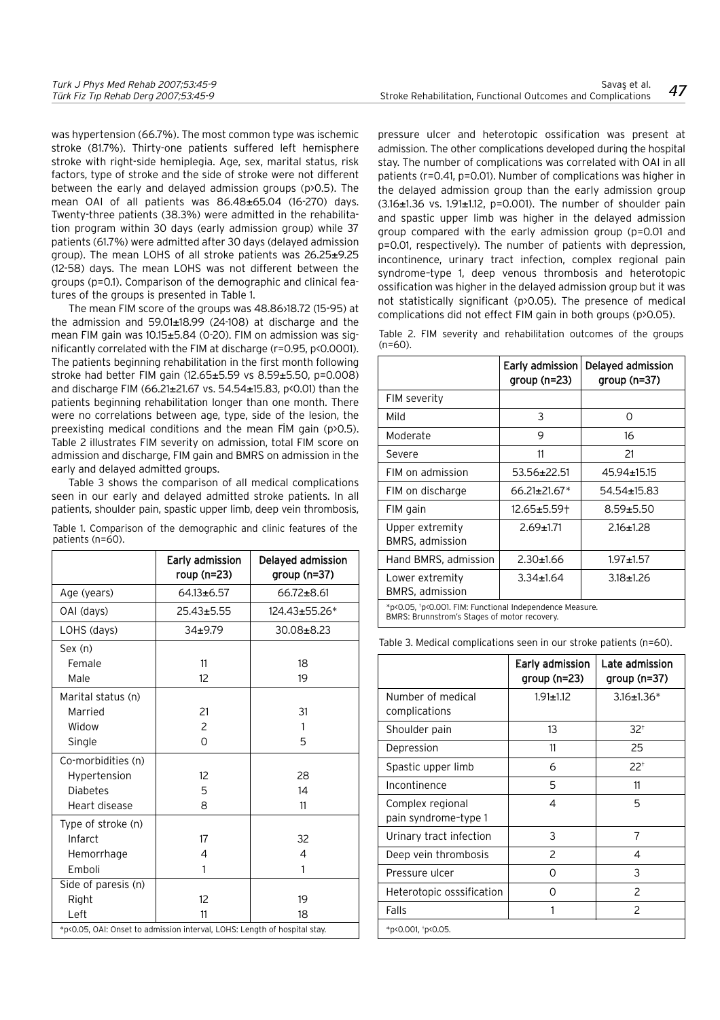was hypertension (66.7%). The most common type was ischemic stroke (81.7%). Thirty-one patients suffered left hemisphere stroke with right-side hemiplegia. Age, sex, marital status, risk factors, type of stroke and the side of stroke were not different between the early and delayed admission groups (p>0.5). The mean OAI of all patients was 86.48±65.04 (16-270) days. Twenty-three patients (38.3%) were admitted in the rehabilitation program within 30 days (early admission group) while 37 patients (61.7%) were admitted after 30 days (delayed admission group). The mean LOHS of all stroke patients was 26.25±9.25 (12-58) days. The mean LOHS was not different between the groups (p=0.1). Comparison of the demographic and clinical features of the groups is presented in Table 1.

The mean FIM score of the groups was 48.86 $>18.72$  (15-95) at the admission and 59.01±18.99 (24-108) at discharge and the mean FIM gain was 10.15±5.84 (0-20). FIM on admission was significantly correlated with the FIM at discharge (r=0.95, p<0.0001). The patients beginning rehabilitation in the first month following stroke had better FIM gain (12.65±5.59 vs 8.59±5.50, p=0.008) and discharge FIM (66.21±21.67 vs. 54.54±15.83, p<0.01) than the patients beginning rehabilitation longer than one month. There were no correlations between age, type, side of the lesion, the preexisting medical conditions and the mean FIM gain ( $p>0.5$ ). Table 2 illustrates FIM severity on admission, total FIM score on admission and discharge, FIM gain and BMRS on admission in the early and delayed admitted groups.

Table 3 shows the comparison of all medical complications seen in our early and delayed admitted stroke patients. In all patients, shoulder pain, spastic upper limb, deep vein thrombosis,

|                                                                           | Early admission<br>roup (n=23) | Delayed admission<br>group (n=37) |  |  |
|---------------------------------------------------------------------------|--------------------------------|-----------------------------------|--|--|
| Age (years)                                                               | $64.13 + 6.57$                 | $66.72 \pm 8.61$                  |  |  |
| OAI (days)                                                                | 25.43±5.55                     | 124.43±55.26*                     |  |  |
| LOHS (days)                                                               | $34 + 9.79$                    | 30.08±8.23                        |  |  |
| Sex (n)                                                                   |                                |                                   |  |  |
| Female                                                                    | 11                             | 18                                |  |  |
| Male                                                                      | $12^{1}$                       | 19                                |  |  |
| Marital status (n)                                                        |                                |                                   |  |  |
| Married                                                                   | 21                             | 31                                |  |  |
| Widow                                                                     | 2                              | 1                                 |  |  |
| Single                                                                    | 0                              | 5                                 |  |  |
| Co-morbidities (n)                                                        |                                |                                   |  |  |
| Hypertension                                                              | 12                             | 28                                |  |  |
| <b>Diabetes</b>                                                           | 5                              | 14                                |  |  |
| Heart disease                                                             | 8                              | 11                                |  |  |
| Type of stroke (n)                                                        |                                |                                   |  |  |
| Infarct                                                                   | 17                             | 32                                |  |  |
| Hemorrhage                                                                | 4                              | 4                                 |  |  |
| Emboli                                                                    | 1                              | 1                                 |  |  |
| Side of paresis (n)                                                       |                                |                                   |  |  |
| Right                                                                     | 12                             | 19                                |  |  |
| Left                                                                      | 11                             | 18                                |  |  |
| *p<0.05, OAI: Onset to admission interval, LOHS: Length of hospital stay. |                                |                                   |  |  |

Table 1. Comparison of the demographic and clinic features of the patients (n=60).

pressure ulcer and heterotopic ossification was present at admission. The other complications developed during the hospital stay. The number of complications was correlated with OAI in all patients (r=0.41, p=0.01). Number of complications was higher in the delayed admission group than the early admission group (3.16±1.36 vs. 1.91±1.12, p=0.001). The number of shoulder pain and spastic upper limb was higher in the delayed admission group compared with the early admission group (p=0.01 and p=0.01, respectively). The number of patients with depression, incontinence, urinary tract infection, complex regional pain syndrome–type 1, deep venous thrombosis and heterotopic ossification was higher in the delayed admission group but it was not statistically significant (p>0.05). The presence of medical complications did not effect FIM gain in both groups (p>0.05).

Table 2. FIM severity and rehabilitation outcomes of the groups  $(n=60)$ 

|                                                                                                          | Early admission<br>$group(n=23)$ | Delayed admission<br>$group(n=37)$ |  |
|----------------------------------------------------------------------------------------------------------|----------------------------------|------------------------------------|--|
| <b>FIM severity</b>                                                                                      |                                  |                                    |  |
| Mild                                                                                                     | 3                                | Ω                                  |  |
| Moderate                                                                                                 | 9                                | 16                                 |  |
| Severe                                                                                                   | 11                               | 21                                 |  |
| FIM on admission                                                                                         | 53.56±22.51                      | 45.94±15.15                        |  |
| FIM on discharge                                                                                         | $66.21 \pm 21.67$ <sup>*</sup>   | 54.54±15.83                        |  |
| FIM gain                                                                                                 | 12.65±5.59†                      | $8.59 + 5.50$                      |  |
| Upper extremity<br><b>BMRS, admission</b>                                                                | $2.69 + 1.71$                    | $2.16 + 1.28$                      |  |
| Hand BMRS, admission                                                                                     | $2.30 + 1.66$                    | $1.97 + 1.57$                      |  |
| Lower extremity<br><b>BMRS, admission</b>                                                                | $3.34 \pm 1.64$                  | $3.18 + 1.26$                      |  |
| *p<0.05, +p<0.001. FIM: Functional Independence Measure.<br>BMRS: Brunnstrom's Stages of motor recovery. |                                  |                                    |  |

Table 3. Medical complications seen in our stroke patients (n=60).

|                                          | Early admission<br>group (n=23) | Late admission<br>$qroup (n=37)$ |
|------------------------------------------|---------------------------------|----------------------------------|
| Number of medical<br>complications       | $1.91 \pm 1.12$                 | $3.16 \pm 1.36*$                 |
| Shoulder pain                            | 13                              | $32^{+}$                         |
| Depression                               | 11                              | 25                               |
| Spastic upper limb                       | 6                               | $22^{+}$                         |
| Incontinence                             | 5                               | 11                               |
| Complex regional<br>pain syndrome-type 1 | 4                               | 5                                |
| Urinary tract infection                  | 3                               | 7                                |
| Deep vein thrombosis                     | 2                               | 4                                |
| Pressure ulcer                           | Ω                               | 3                                |
| Heterotopic osssification                | ∩                               | 2                                |
| Falls                                    |                                 | $\mathcal{P}$                    |
| *p<0.001, +p<0.05.                       |                                 |                                  |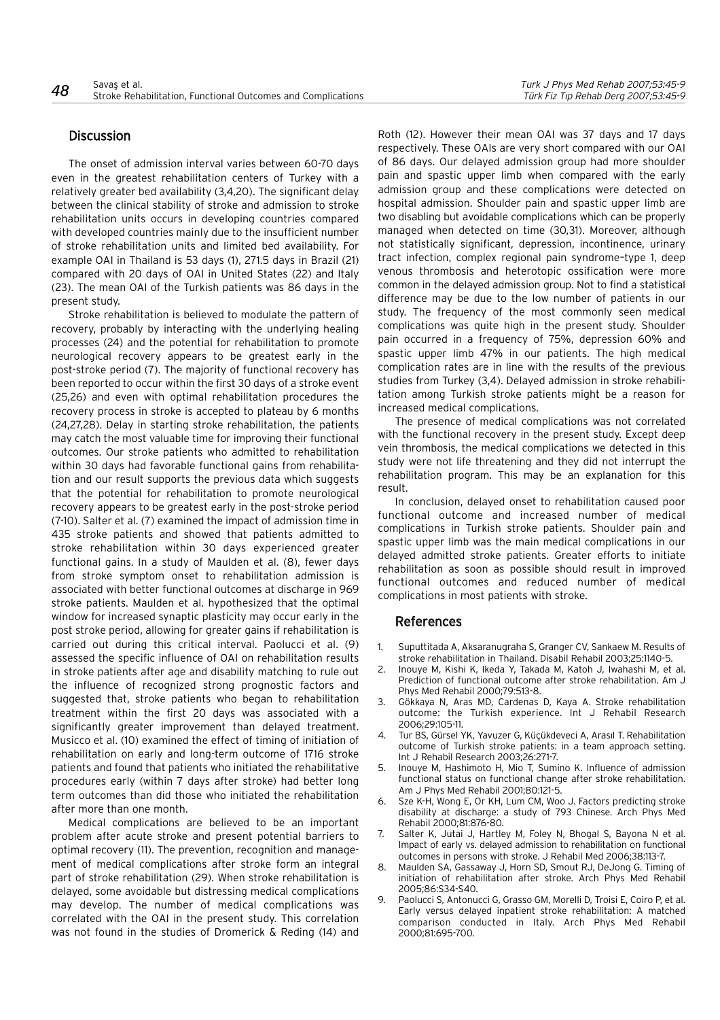# **Discussion**

The onset of admission interval varies between 60-70 days even in the greatest rehabilitation centers of Turkey with a relatively greater bed availability (3,4,20). The significant delay between the clinical stability of stroke and admission to stroke rehabilitation units occurs in developing countries compared with developed countries mainly due to the insufficient number of stroke rehabilitation units and limited bed availability. For example OAI in Thailand is 53 days (1), 271.5 days in Brazil (21) compared with 20 days of OAI in United States (22) and Italy (23). The mean OAI of the Turkish patients was 86 days in the present study.

Stroke rehabilitation is believed to modulate the pattern of recovery, probably by interacting with the underlying healing processes (24) and the potential for rehabilitation to promote neurological recovery appears to be greatest early in the post-stroke period (7). The majority of functional recovery has been reported to occur within the first 30 days of a stroke event (25,26) and even with optimal rehabilitation procedures the recovery process in stroke is accepted to plateau by 6 months (24,27,28). Delay in starting stroke rehabilitation, the patients may catch the most valuable time for improving their functional outcomes. Our stroke patients who admitted to rehabilitation within 30 days had favorable functional gains from rehabilitation and our result supports the previous data which suggests that the potential for rehabilitation to promote neurological recovery appears to be greatest early in the post-stroke period (7-10). Salter et al. (7) examined the impact of admission time in 435 stroke patients and showed that patients admitted to stroke rehabilitation within 30 days experienced greater functional gains. In a study of Maulden et al. (8), fewer days from stroke symptom onset to rehabilitation admission is associated with better functional outcomes at discharge in 969 stroke patients. Maulden et al. hypothesized that the optimal window for increased synaptic plasticity may occur early in the post stroke period, allowing for greater gains if rehabilitation is carried out during this critical interval. Paolucci et al. (9) assessed the specific influence of OAI on rehabilitation results in stroke patients after age and disability matching to rule out the influence of recognized strong prognostic factors and suggested that, stroke patients who began to rehabilitation treatment within the first 20 days was associated with a significantly greater improvement than delayed treatment. Musicco et al. (10) examined the effect of timing of initiation of rehabilitation on early and long-term outcome of 1716 stroke patients and found that patients who initiated the rehabilitative procedures early (within 7 days after stroke) had better long term outcomes than did those who initiated the rehabilitation after more than one month.

Medical complications are believed to be an important problem after acute stroke and present potential barriers to optimal recovery (11). The prevention, recognition and management of medical complications after stroke form an integral part of stroke rehabilitation (29). When stroke rehabilitation is delayed, some avoidable but distressing medical complications may develop. The number of medical complications was correlated with the OAI in the present study. This correlation was not found in the studies of Dromerick & Reding (14) and

Roth (12). However their mean OAI was 37 days and 17 days respectively. These OAIs are very short compared with our OAI of 86 days. Our delayed admission group had more shoulder pain and spastic upper limb when compared with the early admission group and these complications were detected on hospital admission. Shoulder pain and spastic upper limb are two disabling but avoidable complications which can be properly managed when detected on time (30,31). Moreover, although not statistically significant, depression, incontinence, urinary tract infection, complex regional pain syndrome–type 1, deep venous thrombosis and heterotopic ossification were more common in the delayed admission group. Not to find a statistical difference may be due to the low number of patients in our study. The frequency of the most commonly seen medical complications was quite high in the present study. Shoulder pain occurred in a frequency of 75%, depression 60% and spastic upper limb 47% in our patients. The high medical complication rates are in line with the results of the previous studies from Turkey (3,4). Delayed admission in stroke rehabilitation among Turkish stroke patients might be a reason for increased medical complications.

The presence of medical complications was not correlated with the functional recovery in the present study. Except deep vein thrombosis, the medical complications we detected in this study were not life threatening and they did not interrupt the rehabilitation program. This may be an explanation for this result.

In conclusion, delayed onset to rehabilitation caused poor functional outcome and increased number of medical complications in Turkish stroke patients. Shoulder pain and spastic upper limb was the main medical complications in our delayed admitted stroke patients. Greater efforts to initiate rehabilitation as soon as possible should result in improved functional outcomes and reduced number of medical complications in most patients with stroke.

# References

- 1. Suputtitada A, Aksaranugraha S, Granger CV, Sankaew M. Results of stroke rehabilitation in Thailand. Disabil Rehabil 2003;25:1140-5.
- 2. Inouye M, Kishi K, Ikeda Y, Takada M, Katoh J, Iwahashi M, et al. Prediction of functional outcome after stroke rehabilitation. Am J Phys Med Rehabil 2000;79:513-8.
- 3. Gökkaya N, Aras MD, Cardenas D, Kaya A. Stroke rehabilitation outcome: the Turkish experience. Int J Rehabil Research 2006;29:105-11.
- 4. Tur BS, Gürsel YK, Yavuzer G, Küçükdeveci A, Arasıl T. Rehabilitation outcome of Turkish stroke patients: in a team approach setting. Int J Rehabil Research 2003;26:271-7.
- 5. Inouye M, Hashimoto H, Mio T, Sumino K. Influence of admission functional status on functional change after stroke rehabilitation. Am J Phys Med Rehabil 2001;80:121-5.
- 6. Sze K-H, Wong E, Or KH, Lum CM, Woo J. Factors predicting stroke disability at discharge: a study of 793 Chinese. Arch Phys Med Rehabil 2000;81:876-80.
- 7. Salter K, Jutai J, Hartley M, Foley N, Bhogal S, Bayona N et al. Impact of early vs. delayed admission to rehabilitation on functional outcomes in persons with stroke. J Rehabil Med 2006;38:113-7.
- 8. Maulden SA, Gassaway J, Horn SD, Smout RJ, DeJong G. Timing of initiation of rehabilitation after stroke. Arch Phys Med Rehabil 2005;86:S34-S40.
- 9. Paolucci S, Antonucci G, Grasso GM, Morelli D, Troisi E, Coiro P, et al. Early versus delayed inpatient stroke rehabilitation: A matched comparison conducted in Italy. Arch Phys Med Rehabil 2000;81:695-700.